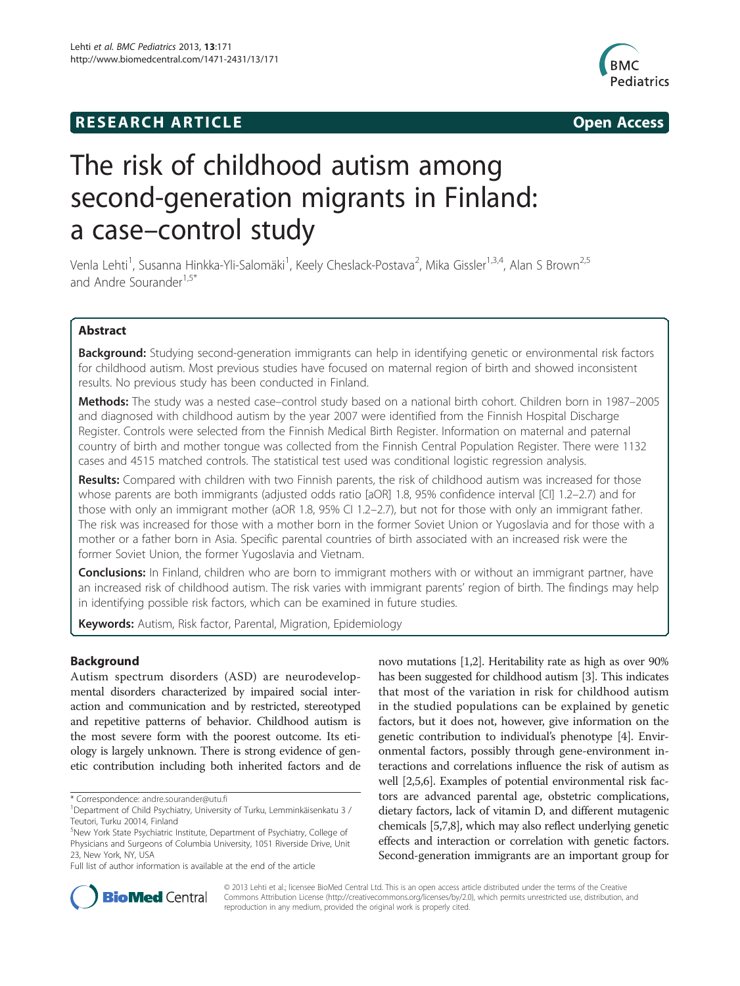# **RESEARCH ARTICLE Example 2014 12:30 The SEAR CH ACCESS**



# The risk of childhood autism among second-generation migrants in Finland: a case–control study

Venla Lehti<sup>1</sup>, Susanna Hinkka-Yli-Salomäki<sup>1</sup>, Keely Cheslack-Postava<sup>2</sup>, Mika Gissler<sup>1,3,4</sup>, Alan S Brown<sup>2,5</sup> and Andre Sourander<sup>1,5\*</sup>

# Abstract

Background: Studying second-generation immigrants can help in identifying genetic or environmental risk factors for childhood autism. Most previous studies have focused on maternal region of birth and showed inconsistent results. No previous study has been conducted in Finland.

Methods: The study was a nested case-control study based on a national birth cohort. Children born in 1987–2005 and diagnosed with childhood autism by the year 2007 were identified from the Finnish Hospital Discharge Register. Controls were selected from the Finnish Medical Birth Register. Information on maternal and paternal country of birth and mother tongue was collected from the Finnish Central Population Register. There were 1132 cases and 4515 matched controls. The statistical test used was conditional logistic regression analysis.

Results: Compared with children with two Finnish parents, the risk of childhood autism was increased for those whose parents are both immigrants (adjusted odds ratio [aOR] 1.8, 95% confidence interval [CI] 1.2–2.7) and for those with only an immigrant mother (aOR 1.8, 95% CI 1.2–2.7), but not for those with only an immigrant father. The risk was increased for those with a mother born in the former Soviet Union or Yugoslavia and for those with a mother or a father born in Asia. Specific parental countries of birth associated with an increased risk were the former Soviet Union, the former Yugoslavia and Vietnam.

**Conclusions:** In Finland, children who are born to immigrant mothers with or without an immigrant partner, have an increased risk of childhood autism. The risk varies with immigrant parents' region of birth. The findings may help in identifying possible risk factors, which can be examined in future studies.

Keywords: Autism, Risk factor, Parental, Migration, Epidemiology

# Background

Autism spectrum disorders (ASD) are neurodevelopmental disorders characterized by impaired social interaction and communication and by restricted, stereotyped and repetitive patterns of behavior. Childhood autism is the most severe form with the poorest outcome. Its etiology is largely unknown. There is strong evidence of genetic contribution including both inherited factors and de

novo mutations [\[1,2\]](#page-6-0). Heritability rate as high as over 90% has been suggested for childhood autism [\[3\]](#page-6-0). This indicates that most of the variation in risk for childhood autism in the studied populations can be explained by genetic factors, but it does not, however, give information on the genetic contribution to individual's phenotype [\[4\]](#page-6-0). Environmental factors, possibly through gene-environment interactions and correlations influence the risk of autism as well [\[2,5,6\]](#page-6-0). Examples of potential environmental risk factors are advanced parental age, obstetric complications, dietary factors, lack of vitamin D, and different mutagenic chemicals [\[5,7,8](#page-6-0)], which may also reflect underlying genetic effects and interaction or correlation with genetic factors. Second-generation immigrants are an important group for



© 2013 Lehti et al.; licensee BioMed Central Ltd. This is an open access article distributed under the terms of the Creative Commons Attribution License [\(http://creativecommons.org/licenses/by/2.0\)](http://creativecommons.org/licenses/by/2.0), which permits unrestricted use, distribution, and reproduction in any medium, provided the original work is properly cited.

<sup>\*</sup> Correspondence: [andre.sourander@utu.fi](mailto:andre.sourander@utu.fi) <sup>1</sup>

Department of Child Psychiatry, University of Turku, Lemminkäisenkatu 3 / Teutori, Turku 20014, Finland

<sup>&</sup>lt;sup>5</sup>New York State Psychiatric Institute, Department of Psychiatry, College of Physicians and Surgeons of Columbia University, 1051 Riverside Drive, Unit 23, New York, NY, USA

Full list of author information is available at the end of the article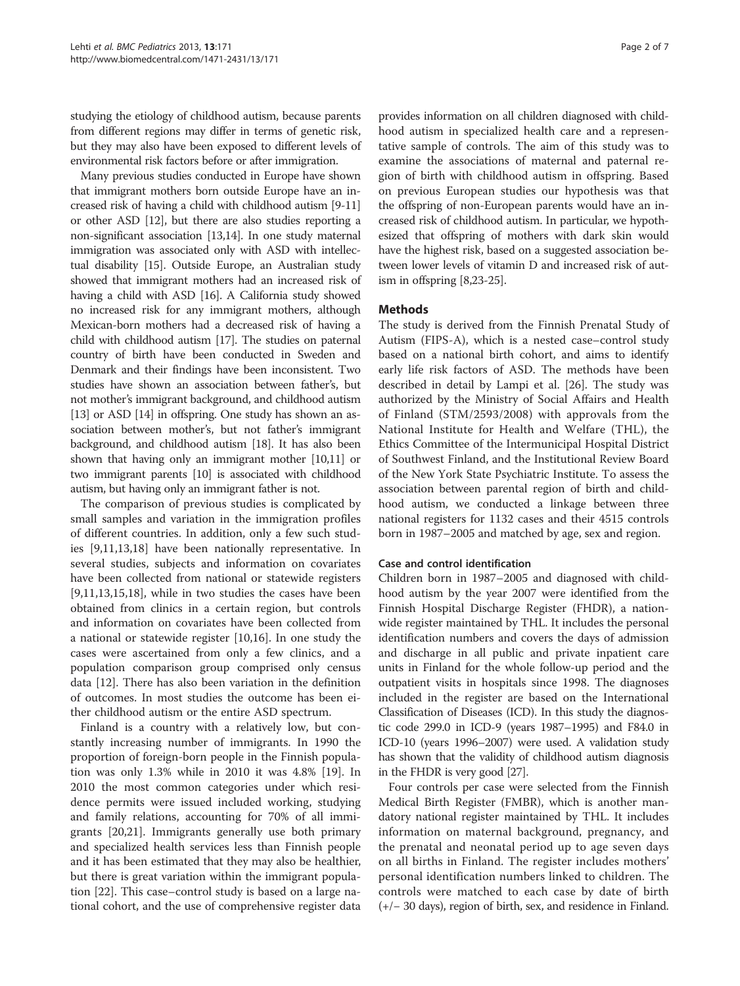studying the etiology of childhood autism, because parents from different regions may differ in terms of genetic risk, but they may also have been exposed to different levels of environmental risk factors before or after immigration.

Many previous studies conducted in Europe have shown that immigrant mothers born outside Europe have an increased risk of having a child with childhood autism [[9-11](#page-6-0)] or other ASD [[12](#page-6-0)], but there are also studies reporting a non-significant association [[13,14\]](#page-6-0). In one study maternal immigration was associated only with ASD with intellectual disability [\[15](#page-6-0)]. Outside Europe, an Australian study showed that immigrant mothers had an increased risk of having a child with ASD [\[16\]](#page-6-0). A California study showed no increased risk for any immigrant mothers, although Mexican-born mothers had a decreased risk of having a child with childhood autism [\[17\]](#page-6-0). The studies on paternal country of birth have been conducted in Sweden and Denmark and their findings have been inconsistent. Two studies have shown an association between father's, but not mother's immigrant background, and childhood autism [[13](#page-6-0)] or ASD [\[14\]](#page-6-0) in offspring. One study has shown an association between mother's, but not father's immigrant background, and childhood autism [[18](#page-6-0)]. It has also been shown that having only an immigrant mother [[10,11\]](#page-6-0) or two immigrant parents [\[10](#page-6-0)] is associated with childhood autism, but having only an immigrant father is not.

The comparison of previous studies is complicated by small samples and variation in the immigration profiles of different countries. In addition, only a few such studies [[9,11,13](#page-6-0),[18](#page-6-0)] have been nationally representative. In several studies, subjects and information on covariates have been collected from national or statewide registers [[9,11,13,15,18\]](#page-6-0), while in two studies the cases have been obtained from clinics in a certain region, but controls and information on covariates have been collected from a national or statewide register [\[10,16](#page-6-0)]. In one study the cases were ascertained from only a few clinics, and a population comparison group comprised only census data [\[12](#page-6-0)]. There has also been variation in the definition of outcomes. In most studies the outcome has been either childhood autism or the entire ASD spectrum.

Finland is a country with a relatively low, but constantly increasing number of immigrants. In 1990 the proportion of foreign-born people in the Finnish population was only 1.3% while in 2010 it was 4.8% [\[19\]](#page-6-0). In 2010 the most common categories under which residence permits were issued included working, studying and family relations, accounting for 70% of all immigrants [\[20,21\]](#page-6-0). Immigrants generally use both primary and specialized health services less than Finnish people and it has been estimated that they may also be healthier, but there is great variation within the immigrant population [\[22\]](#page-6-0). This case–control study is based on a large national cohort, and the use of comprehensive register data

provides information on all children diagnosed with childhood autism in specialized health care and a representative sample of controls. The aim of this study was to examine the associations of maternal and paternal region of birth with childhood autism in offspring. Based on previous European studies our hypothesis was that the offspring of non-European parents would have an increased risk of childhood autism. In particular, we hypothesized that offspring of mothers with dark skin would have the highest risk, based on a suggested association between lower levels of vitamin D and increased risk of autism in offspring [\[8,23-25\]](#page-6-0).

# Methods

The study is derived from the Finnish Prenatal Study of Autism (FIPS-A), which is a nested case–control study based on a national birth cohort, and aims to identify early life risk factors of ASD. The methods have been described in detail by Lampi et al. [[26\]](#page-6-0). The study was authorized by the Ministry of Social Affairs and Health of Finland (STM/2593/2008) with approvals from the National Institute for Health and Welfare (THL), the Ethics Committee of the Intermunicipal Hospital District of Southwest Finland, and the Institutional Review Board of the New York State Psychiatric Institute. To assess the association between parental region of birth and childhood autism, we conducted a linkage between three national registers for 1132 cases and their 4515 controls born in 1987–2005 and matched by age, sex and region.

# Case and control identification

Children born in 1987–2005 and diagnosed with childhood autism by the year 2007 were identified from the Finnish Hospital Discharge Register (FHDR), a nationwide register maintained by THL. It includes the personal identification numbers and covers the days of admission and discharge in all public and private inpatient care units in Finland for the whole follow-up period and the outpatient visits in hospitals since 1998. The diagnoses included in the register are based on the International Classification of Diseases (ICD). In this study the diagnostic code 299.0 in ICD-9 (years 1987–1995) and F84.0 in ICD-10 (years 1996–2007) were used. A validation study has shown that the validity of childhood autism diagnosis in the FHDR is very good [\[27](#page-6-0)].

Four controls per case were selected from the Finnish Medical Birth Register (FMBR), which is another mandatory national register maintained by THL. It includes information on maternal background, pregnancy, and the prenatal and neonatal period up to age seven days on all births in Finland. The register includes mothers' personal identification numbers linked to children. The controls were matched to each case by date of birth (+/− 30 days), region of birth, sex, and residence in Finland.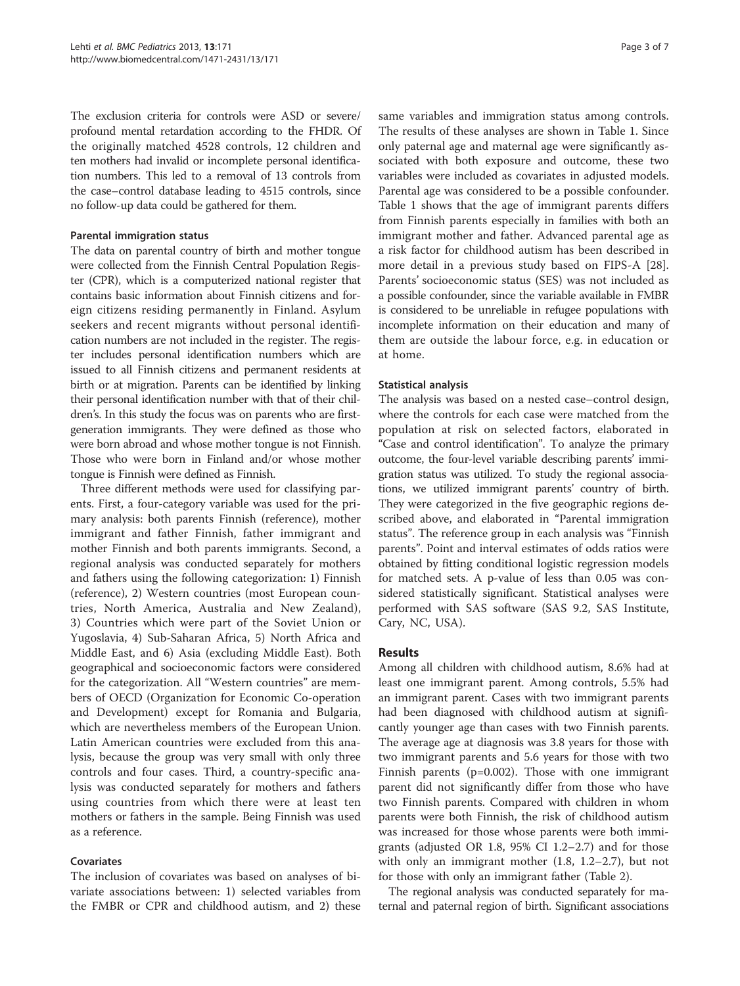The exclusion criteria for controls were ASD or severe/ profound mental retardation according to the FHDR. Of the originally matched 4528 controls, 12 children and ten mothers had invalid or incomplete personal identification numbers. This led to a removal of 13 controls from the case–control database leading to 4515 controls, since no follow-up data could be gathered for them.

#### Parental immigration status

The data on parental country of birth and mother tongue were collected from the Finnish Central Population Register (CPR), which is a computerized national register that contains basic information about Finnish citizens and foreign citizens residing permanently in Finland. Asylum seekers and recent migrants without personal identification numbers are not included in the register. The register includes personal identification numbers which are issued to all Finnish citizens and permanent residents at birth or at migration. Parents can be identified by linking their personal identification number with that of their children's. In this study the focus was on parents who are firstgeneration immigrants. They were defined as those who were born abroad and whose mother tongue is not Finnish. Those who were born in Finland and/or whose mother tongue is Finnish were defined as Finnish.

Three different methods were used for classifying parents. First, a four-category variable was used for the primary analysis: both parents Finnish (reference), mother immigrant and father Finnish, father immigrant and mother Finnish and both parents immigrants. Second, a regional analysis was conducted separately for mothers and fathers using the following categorization: 1) Finnish (reference), 2) Western countries (most European countries, North America, Australia and New Zealand), 3) Countries which were part of the Soviet Union or Yugoslavia, 4) Sub-Saharan Africa, 5) North Africa and Middle East, and 6) Asia (excluding Middle East). Both geographical and socioeconomic factors were considered for the categorization. All "Western countries" are members of OECD (Organization for Economic Co-operation and Development) except for Romania and Bulgaria, which are nevertheless members of the European Union. Latin American countries were excluded from this analysis, because the group was very small with only three controls and four cases. Third, a country-specific analysis was conducted separately for mothers and fathers using countries from which there were at least ten mothers or fathers in the sample. Being Finnish was used as a reference.

# Covariates

The inclusion of covariates was based on analyses of bivariate associations between: 1) selected variables from the FMBR or CPR and childhood autism, and 2) these

same variables and immigration status among controls. The results of these analyses are shown in Table [1.](#page-3-0) Since only paternal age and maternal age were significantly associated with both exposure and outcome, these two variables were included as covariates in adjusted models. Parental age was considered to be a possible confounder. Table [1](#page-3-0) shows that the age of immigrant parents differs from Finnish parents especially in families with both an immigrant mother and father. Advanced parental age as a risk factor for childhood autism has been described in more detail in a previous study based on FIPS-A [\[28](#page-6-0)]. Parents' socioeconomic status (SES) was not included as a possible confounder, since the variable available in FMBR is considered to be unreliable in refugee populations with incomplete information on their education and many of them are outside the labour force, e.g. in education or at home.

### Statistical analysis

The analysis was based on a nested case–control design, where the controls for each case were matched from the population at risk on selected factors, elaborated in "Case and control identification". To analyze the primary outcome, the four-level variable describing parents' immigration status was utilized. To study the regional associations, we utilized immigrant parents' country of birth. They were categorized in the five geographic regions described above, and elaborated in "Parental immigration status". The reference group in each analysis was "Finnish parents". Point and interval estimates of odds ratios were obtained by fitting conditional logistic regression models for matched sets. A p-value of less than 0.05 was considered statistically significant. Statistical analyses were performed with SAS software (SAS 9.2, SAS Institute, Cary, NC, USA).

#### Results

Among all children with childhood autism, 8.6% had at least one immigrant parent. Among controls, 5.5% had an immigrant parent. Cases with two immigrant parents had been diagnosed with childhood autism at significantly younger age than cases with two Finnish parents. The average age at diagnosis was 3.8 years for those with two immigrant parents and 5.6 years for those with two Finnish parents (p=0.002). Those with one immigrant parent did not significantly differ from those who have two Finnish parents. Compared with children in whom parents were both Finnish, the risk of childhood autism was increased for those whose parents were both immigrants (adjusted OR 1.8, 95% CI 1.2–2.7) and for those with only an immigrant mother (1.8, 1.2–2.7), but not for those with only an immigrant father (Table [2\)](#page-3-0).

The regional analysis was conducted separately for maternal and paternal region of birth. Significant associations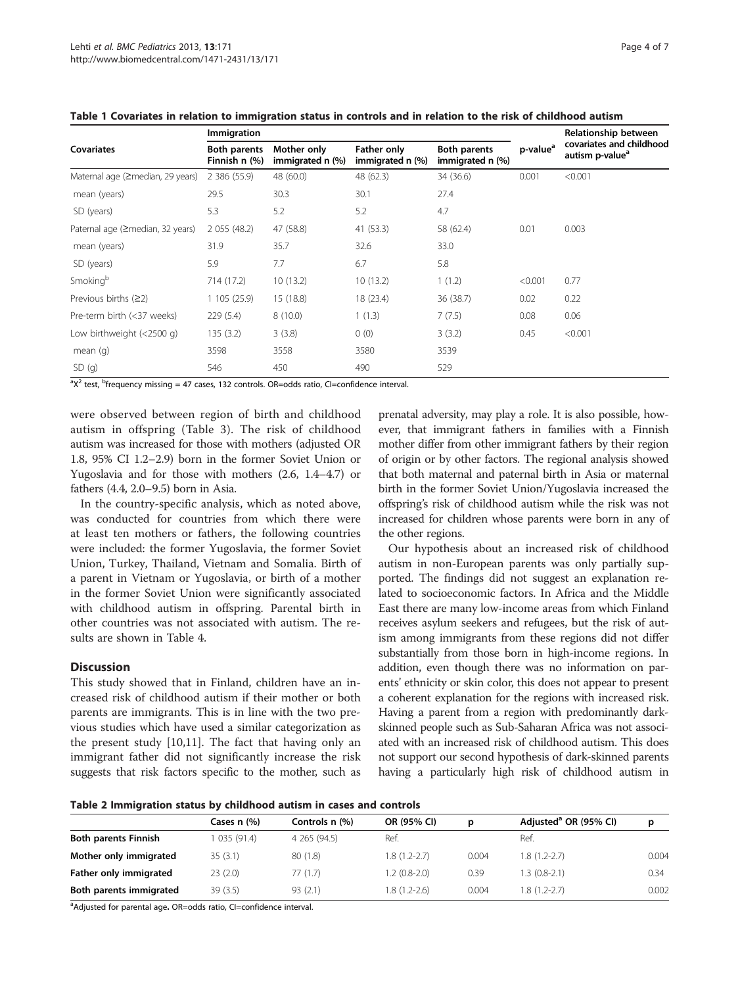|                                  | Immigration                          |                                 |                                 | Relationship between                    |                      |                                                         |  |
|----------------------------------|--------------------------------------|---------------------------------|---------------------------------|-----------------------------------------|----------------------|---------------------------------------------------------|--|
| <b>Covariates</b>                | <b>Both parents</b><br>Finnish n (%) | Mother only<br>immigrated n (%) | Father only<br>immigrated n (%) | <b>Both parents</b><br>immigrated n (%) | p-value <sup>a</sup> | covariates and childhood<br>autism p-value <sup>a</sup> |  |
| Maternal age (≥median, 29 years) | 2 386 (55.9)                         | 48 (60.0)                       | 48 (62.3)                       | 34 (36.6)                               | 0.001                | < 0.001                                                 |  |
| mean (years)                     | 29.5                                 | 30.3                            | 30.1                            | 27.4                                    |                      |                                                         |  |
| SD (years)                       | 5.3                                  | 5.2                             | 5.2                             | 4.7                                     |                      |                                                         |  |
| Paternal age (≥median, 32 years) | 2 055 (48.2)                         | 47 (58.8)                       | 41 (53.3)                       | 58 (62.4)                               | 0.01                 | 0.003                                                   |  |
| mean (years)                     | 31.9                                 | 35.7                            | 32.6                            | 33.0                                    |                      |                                                         |  |
| SD (years)                       | 5.9                                  | 7.7                             | 6.7                             | 5.8                                     |                      |                                                         |  |
| Smoking <sup>b</sup>             | 714 (17.2)                           | 10(13.2)                        | 10(13.2)                        | 1(1.2)                                  | < 0.001              | 0.77                                                    |  |
| Previous births $(22)$           | 1105(25.9)                           | 15 (18.8)                       | 18 (23.4)                       | 36 (38.7)                               | 0.02                 | 0.22                                                    |  |
| Pre-term birth (<37 weeks)       | 229(5.4)                             | 8(10.0)                         | 1(1.3)                          | 7(7.5)                                  | 0.08                 | 0.06                                                    |  |
| Low birthweight (<2500 g)        | 135(3.2)                             | 3(3.8)                          | 0(0)                            | 3(3.2)                                  | 0.45                 | < 0.001                                                 |  |
| mean $(q)$                       | 3598                                 | 3558                            | 3580                            | 3539                                    |                      |                                                         |  |
| SD(q)                            | 546                                  | 450                             | 490                             | 529                                     |                      |                                                         |  |

<span id="page-3-0"></span>

 $\alpha$ <sup>2</sup> test, <sup>b</sup>frequency missing = 47 cases, 132 controls. OR=odds ratio, CI=confidence interval.

were observed between region of birth and childhood autism in offspring (Table [3](#page-4-0)). The risk of childhood autism was increased for those with mothers (adjusted OR 1.8, 95% CI 1.2–2.9) born in the former Soviet Union or Yugoslavia and for those with mothers (2.6, 1.4–4.7) or fathers (4.4, 2.0–9.5) born in Asia.

In the country-specific analysis, which as noted above, was conducted for countries from which there were at least ten mothers or fathers, the following countries were included: the former Yugoslavia, the former Soviet Union, Turkey, Thailand, Vietnam and Somalia. Birth of a parent in Vietnam or Yugoslavia, or birth of a mother in the former Soviet Union were significantly associated with childhood autism in offspring. Parental birth in other countries was not associated with autism. The results are shown in Table [4](#page-4-0).

#### **Discussion**

This study showed that in Finland, children have an increased risk of childhood autism if their mother or both parents are immigrants. This is in line with the two previous studies which have used a similar categorization as the present study [\[10,11](#page-6-0)]. The fact that having only an immigrant father did not significantly increase the risk suggests that risk factors specific to the mother, such as

prenatal adversity, may play a role. It is also possible, however, that immigrant fathers in families with a Finnish mother differ from other immigrant fathers by their region of origin or by other factors. The regional analysis showed that both maternal and paternal birth in Asia or maternal birth in the former Soviet Union/Yugoslavia increased the offspring's risk of childhood autism while the risk was not increased for children whose parents were born in any of the other regions.

Our hypothesis about an increased risk of childhood autism in non-European parents was only partially supported. The findings did not suggest an explanation related to socioeconomic factors. In Africa and the Middle East there are many low-income areas from which Finland receives asylum seekers and refugees, but the risk of autism among immigrants from these regions did not differ substantially from those born in high-income regions. In addition, even though there was no information on parents' ethnicity or skin color, this does not appear to present a coherent explanation for the regions with increased risk. Having a parent from a region with predominantly darkskinned people such as Sub-Saharan Africa was not associated with an increased risk of childhood autism. This does not support our second hypothesis of dark-skinned parents having a particularly high risk of childhood autism in

Table 2 Immigration status by childhood autism in cases and controls

|                             | Cases n (%) | Controls n (%) | OR (95% CI)    | D     | Adjusted <sup>a</sup> OR (95% CI) | D     |
|-----------------------------|-------------|----------------|----------------|-------|-----------------------------------|-------|
| <b>Both parents Finnish</b> | 035 (91.4)  | 4 265 (94.5)   | Ref.           |       | Ref.                              |       |
| Mother only immigrated      | 35(3.1)     | 80 (1.8)       | 1.8 (1.2-2.7)  | 0.004 | $1.8(1.2 - 2.7)$                  | 0.004 |
| Father only immigrated      | 23(2.0)     | 77(1.7)        | $1.2(0.8-2.0)$ | 0.39  | $1.3(0.8-2.1)$                    | 0.34  |
| Both parents immigrated     | 39(3.5)     | 93(2.1)        | 1.8 (1.2-2.6)  | 0.004 | $1.8(1.2 - 2.7)$                  | 0.002 |

<sup>a</sup>Adjusted for parental age. OR=odds ratio, CI=confidence interval.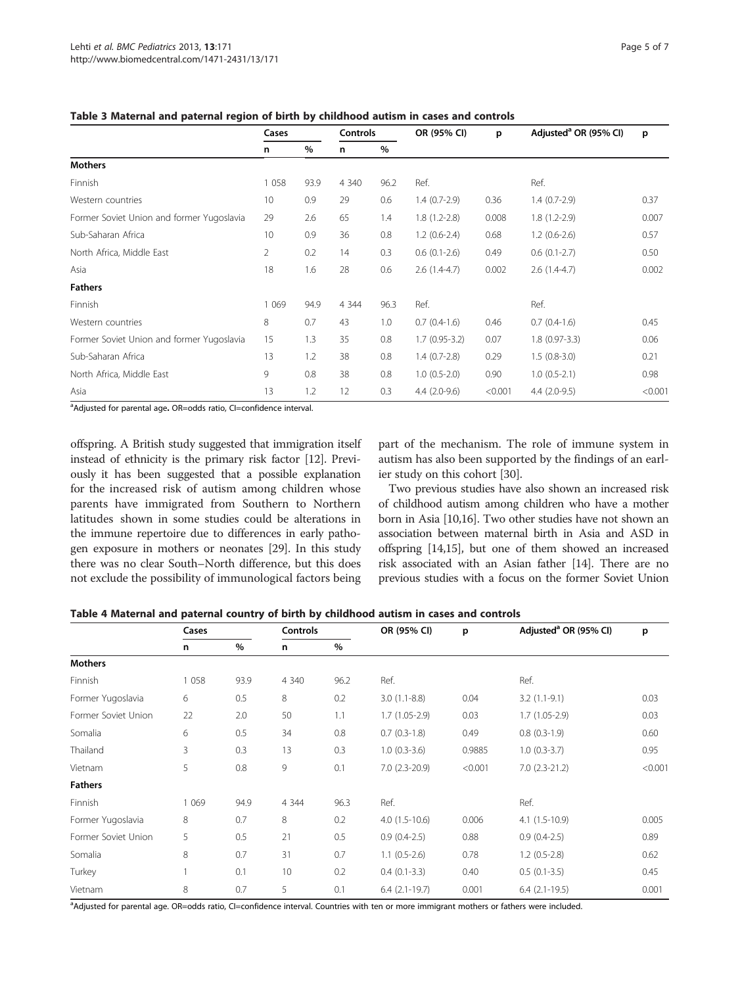|                                           | Cases          |      | <b>Controls</b> |      | OR (95% CI)     | p       | Adjusted <sup>a</sup> OR (95% CI) | p       |
|-------------------------------------------|----------------|------|-----------------|------|-----------------|---------|-----------------------------------|---------|
|                                           | n              | $\%$ | n               | $\%$ |                 |         |                                   |         |
| <b>Mothers</b>                            |                |      |                 |      |                 |         |                                   |         |
| Finnish                                   | 1 0 5 8        | 93.9 | 4 3 4 0         | 96.2 | Ref.            |         | Ref.                              |         |
| Western countries                         | 10             | 0.9  | 29              | 0.6  | $1.4(0.7-2.9)$  | 0.36    | $1.4(0.7-2.9)$                    | 0.37    |
| Former Soviet Union and former Yugoslavia | 29             | 2.6  | 65              | 1.4  | $1.8(1.2-2.8)$  | 0.008   | $1.8(1.2-2.9)$                    | 0.007   |
| Sub-Saharan Africa                        | 10             | 0.9  | 36              | 0.8  | $1.2(0.6-2.4)$  | 0.68    | $1.2(0.6-2.6)$                    | 0.57    |
| North Africa, Middle East                 | $\overline{2}$ | 0.2  | 14              | 0.3  | $0.6(0.1-2.6)$  | 0.49    | $0.6(0.1-2.7)$                    | 0.50    |
| Asia                                      | 18             | 1.6  | 28              | 0.6  | $2.6(1.4-4.7)$  | 0.002   | $2.6(1.4-4.7)$                    | 0.002   |
| <b>Fathers</b>                            |                |      |                 |      |                 |         |                                   |         |
| Finnish                                   | 1 0 6 9        | 94.9 | 4 3 4 4         | 96.3 | Ref.            |         | Ref.                              |         |
| Western countries                         | 8              | 0.7  | 43              | 1.0  | $0.7(0.4-1.6)$  | 0.46    | $0.7(0.4-1.6)$                    | 0.45    |
| Former Soviet Union and former Yugoslavia | 15             | 1.3  | 35              | 0.8  | $1.7(0.95-3.2)$ | 0.07    | $1.8(0.97-3.3)$                   | 0.06    |
| Sub-Saharan Africa                        | 13             | 1.2  | 38              | 0.8  | $1.4(0.7-2.8)$  | 0.29    | $1.5(0.8-3.0)$                    | 0.21    |
| North Africa, Middle East                 | 9              | 0.8  | 38              | 0.8  | $1.0(0.5-2.0)$  | 0.90    | $1.0(0.5-2.1)$                    | 0.98    |
| Asia                                      | 13             | 1.2  | 12              | 0.3  | $4.4(2.0-9.6)$  | < 0.001 | $4.4(2.0-9.5)$                    | < 0.001 |

<span id="page-4-0"></span>Table 3 Maternal and paternal region of birth by childhood autism in cases and controls

<sup>a</sup>Adjusted for parental age. OR=odds ratio, CI=confidence interval.

offspring. A British study suggested that immigration itself instead of ethnicity is the primary risk factor [\[12\]](#page-6-0). Previously it has been suggested that a possible explanation for the increased risk of autism among children whose parents have immigrated from Southern to Northern latitudes shown in some studies could be alterations in the immune repertoire due to differences in early pathogen exposure in mothers or neonates [\[29\]](#page-6-0). In this study there was no clear South–North difference, but this does not exclude the possibility of immunological factors being

part of the mechanism. The role of immune system in autism has also been supported by the findings of an earlier study on this cohort [[30](#page-6-0)].

Two previous studies have also shown an increased risk of childhood autism among children who have a mother born in Asia [\[10,16\]](#page-6-0). Two other studies have not shown an association between maternal birth in Asia and ASD in offspring [\[14,15](#page-6-0)], but one of them showed an increased risk associated with an Asian father [\[14\]](#page-6-0). There are no previous studies with a focus on the former Soviet Union

| Table 4 Maternal and paternal country of birth by childhood autism in cases and controls |  |  |  |  |  |  |  |
|------------------------------------------------------------------------------------------|--|--|--|--|--|--|--|
|------------------------------------------------------------------------------------------|--|--|--|--|--|--|--|

|                     | Cases   |      | <b>Controls</b> |      | OR (95% CI)          | p       | Adjusted <sup>a</sup> OR (95% CI) | p       |
|---------------------|---------|------|-----------------|------|----------------------|---------|-----------------------------------|---------|
|                     | n       | %    | n               | %    |                      |         |                                   |         |
| <b>Mothers</b>      |         |      |                 |      |                      |         |                                   |         |
| Finnish             | 1 0 5 8 | 93.9 | 4 3 4 0         | 96.2 | Ref.                 |         | Ref.                              |         |
| Former Yugoslavia   | 6       | 0.5  | 8               | 0.2  | $3.0(1.1-8.8)$       | 0.04    | $3.2(1.1-9.1)$                    | 0.03    |
| Former Soviet Union | 22      | 2.0  | 50              | 1.1  | $1.7(1.05-2.9)$      | 0.03    | $1.7(1.05-2.9)$                   | 0.03    |
| Somalia             | 6       | 0.5  | 34              | 0.8  | $0.7(0.3-1.8)$       | 0.49    | $0.8(0.3-1.9)$                    | 0.60    |
| Thailand            | 3       | 0.3  | 13              | 0.3  | $1.0(0.3-3.6)$       | 0.9885  | $1.0(0.3-3.7)$                    | 0.95    |
| Vietnam             | 5       | 0.8  | 9               | 0.1  | $7.0(2.3-20.9)$      | < 0.001 | $7.0(2.3-21.2)$                   | < 0.001 |
| <b>Fathers</b>      |         |      |                 |      |                      |         |                                   |         |
| Finnish             | 1 0 6 9 | 94.9 | 4 3 4 4         | 96.3 | Ref.                 |         | Ref.                              |         |
| Former Yugoslavia   | 8       | 0.7  | 8               | 0.2  | $4.0(1.5-10.6)$      | 0.006   | $4.1(1.5-10.9)$                   | 0.005   |
| Former Soviet Union | 5       | 0.5  | 21              | 0.5  | $0.9(0.4-2.5)$       | 0.88    | $0.9(0.4-2.5)$                    | 0.89    |
| Somalia             | 8       | 0.7  | 31              | 0.7  | $1.1(0.5-2.6)$       | 0.78    | $1.2(0.5-2.8)$                    | 0.62    |
| Turkey              |         | 0.1  | 10              | 0.2  | $0.4(0.1-3.3)$       | 0.40    | $0.5(0.1-3.5)$                    | 0.45    |
| Vietnam             | 8       | 0.7  | 5               | 0.1  | $6.4$ $(2.1 - 19.7)$ | 0.001   | $6.4(2.1-19.5)$                   | 0.001   |

a Adjusted for parental age. OR=odds ratio, CI=confidence interval. Countries with ten or more immigrant mothers or fathers were included.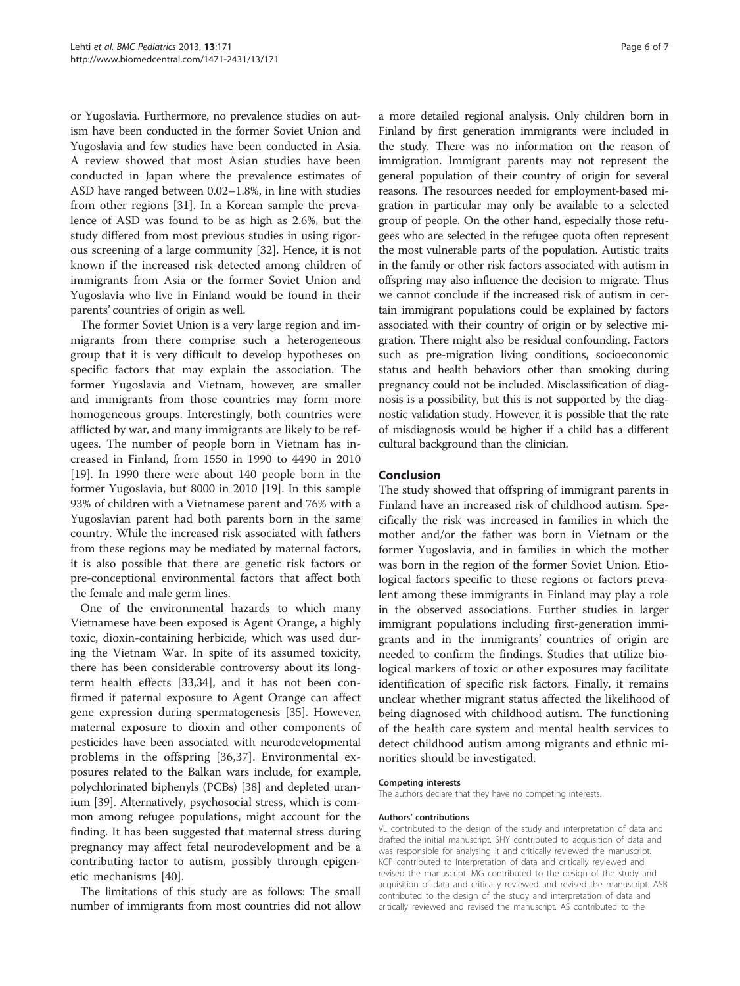or Yugoslavia. Furthermore, no prevalence studies on autism have been conducted in the former Soviet Union and Yugoslavia and few studies have been conducted in Asia. A review showed that most Asian studies have been conducted in Japan where the prevalence estimates of ASD have ranged between 0.02–1.8%, in line with studies from other regions [\[31](#page-6-0)]. In a Korean sample the prevalence of ASD was found to be as high as 2.6%, but the study differed from most previous studies in using rigorous screening of a large community [\[32](#page-6-0)]. Hence, it is not known if the increased risk detected among children of immigrants from Asia or the former Soviet Union and Yugoslavia who live in Finland would be found in their parents' countries of origin as well.

The former Soviet Union is a very large region and immigrants from there comprise such a heterogeneous group that it is very difficult to develop hypotheses on specific factors that may explain the association. The former Yugoslavia and Vietnam, however, are smaller and immigrants from those countries may form more homogeneous groups. Interestingly, both countries were afflicted by war, and many immigrants are likely to be refugees. The number of people born in Vietnam has increased in Finland, from 1550 in 1990 to 4490 in 2010 [[19\]](#page-6-0). In 1990 there were about 140 people born in the former Yugoslavia, but 8000 in 2010 [[19](#page-6-0)]. In this sample 93% of children with a Vietnamese parent and 76% with a Yugoslavian parent had both parents born in the same country. While the increased risk associated with fathers from these regions may be mediated by maternal factors, it is also possible that there are genetic risk factors or pre-conceptional environmental factors that affect both the female and male germ lines.

One of the environmental hazards to which many Vietnamese have been exposed is Agent Orange, a highly toxic, dioxin-containing herbicide, which was used during the Vietnam War. In spite of its assumed toxicity, there has been considerable controversy about its longterm health effects [\[33,34](#page-6-0)], and it has not been confirmed if paternal exposure to Agent Orange can affect gene expression during spermatogenesis [\[35\]](#page-6-0). However, maternal exposure to dioxin and other components of pesticides have been associated with neurodevelopmental problems in the offspring [[36,37](#page-6-0)]. Environmental exposures related to the Balkan wars include, for example, polychlorinated biphenyls (PCBs) [\[38\]](#page-6-0) and depleted uranium [[39](#page-6-0)]. Alternatively, psychosocial stress, which is common among refugee populations, might account for the finding. It has been suggested that maternal stress during pregnancy may affect fetal neurodevelopment and be a contributing factor to autism, possibly through epigenetic mechanisms [[40\]](#page-6-0).

The limitations of this study are as follows: The small number of immigrants from most countries did not allow

a more detailed regional analysis. Only children born in Finland by first generation immigrants were included in the study. There was no information on the reason of immigration. Immigrant parents may not represent the general population of their country of origin for several reasons. The resources needed for employment-based migration in particular may only be available to a selected group of people. On the other hand, especially those refugees who are selected in the refugee quota often represent the most vulnerable parts of the population. Autistic traits in the family or other risk factors associated with autism in offspring may also influence the decision to migrate. Thus we cannot conclude if the increased risk of autism in certain immigrant populations could be explained by factors associated with their country of origin or by selective migration. There might also be residual confounding. Factors such as pre-migration living conditions, socioeconomic status and health behaviors other than smoking during pregnancy could not be included. Misclassification of diagnosis is a possibility, but this is not supported by the diagnostic validation study. However, it is possible that the rate of misdiagnosis would be higher if a child has a different cultural background than the clinician.

# Conclusion

The study showed that offspring of immigrant parents in Finland have an increased risk of childhood autism. Specifically the risk was increased in families in which the mother and/or the father was born in Vietnam or the former Yugoslavia, and in families in which the mother was born in the region of the former Soviet Union. Etiological factors specific to these regions or factors prevalent among these immigrants in Finland may play a role in the observed associations. Further studies in larger immigrant populations including first-generation immigrants and in the immigrants' countries of origin are needed to confirm the findings. Studies that utilize biological markers of toxic or other exposures may facilitate identification of specific risk factors. Finally, it remains unclear whether migrant status affected the likelihood of being diagnosed with childhood autism. The functioning of the health care system and mental health services to detect childhood autism among migrants and ethnic minorities should be investigated.

#### Competing interests

The authors declare that they have no competing interests.

#### Authors' contributions

VL contributed to the design of the study and interpretation of data and drafted the initial manuscript. SHY contributed to acquisition of data and was responsible for analysing it and critically reviewed the manuscript. KCP contributed to interpretation of data and critically reviewed and revised the manuscript. MG contributed to the design of the study and acquisition of data and critically reviewed and revised the manuscript. ASB contributed to the design of the study and interpretation of data and critically reviewed and revised the manuscript. AS contributed to the